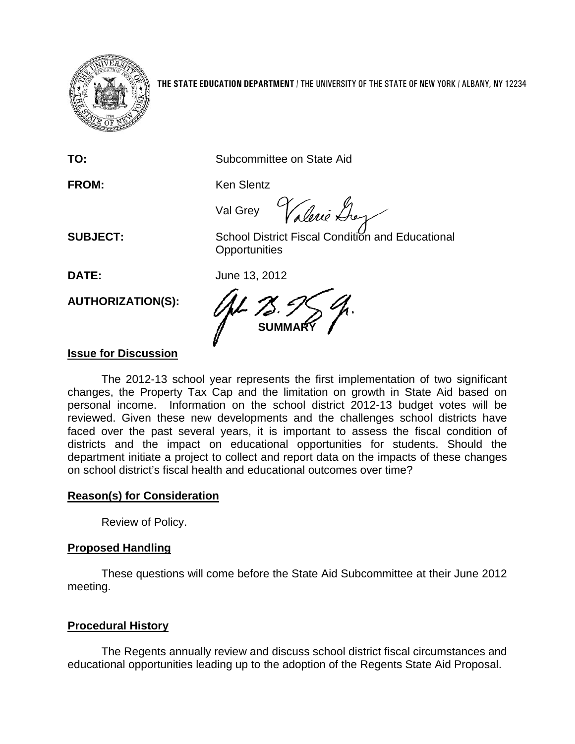

**THE STATE EDUCATION DEPARTMENT** / THE UNIVERSITY OF THE STATE OF NEW YORK / ALBANY, NY 12234

**TO:** Subcommittee on State Aid

FROM: Ken Slentz

Val Grey Valerie Lhey

**SUBJECT:** School District Fiscal Condition and Educational **Opportunities** 

**DATE:** June 13, 2012

**AUTHORIZATION(S):**

**SUMMARY**

## **Issue for Discussion**

The 2012-13 school year represents the first implementation of two significant changes, the Property Tax Cap and the limitation on growth in State Aid based on personal income. Information on the school district 2012-13 budget votes will be reviewed. Given these new developments and the challenges school districts have faced over the past several years, it is important to assess the fiscal condition of districts and the impact on educational opportunities for students. Should the department initiate a project to collect and report data on the impacts of these changes on school district's fiscal health and educational outcomes over time?

### **Reason(s) for Consideration**

Review of Policy.

## **Proposed Handling**

These questions will come before the State Aid Subcommittee at their June 2012 meeting.

## **Procedural History**

The Regents annually review and discuss school district fiscal circumstances and educational opportunities leading up to the adoption of the Regents State Aid Proposal.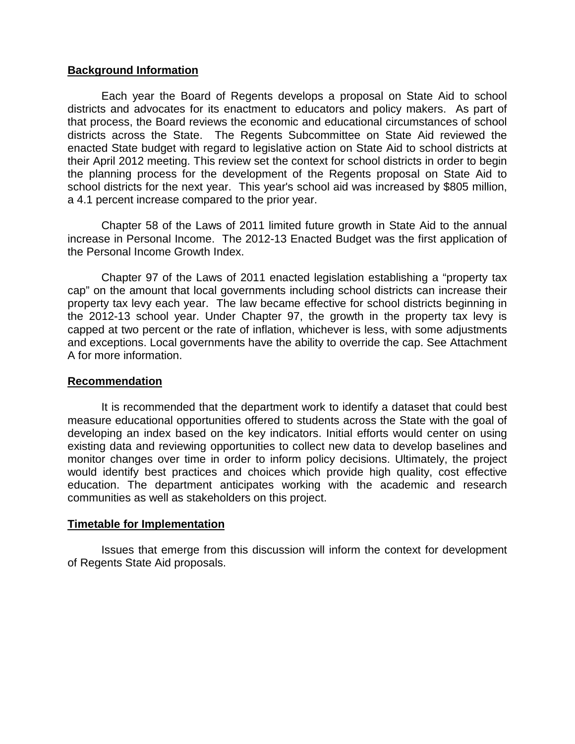#### **Background Information**

Each year the Board of Regents develops a proposal on State Aid to school districts and advocates for its enactment to educators and policy makers. As part of that process, the Board reviews the economic and educational circumstances of school districts across the State. The Regents Subcommittee on State Aid reviewed the enacted State budget with regard to legislative action on State Aid to school districts at their April 2012 meeting. This review set the context for school districts in order to begin the planning process for the development of the Regents proposal on State Aid to school districts for the next year. This year's school aid was increased by \$805 million, a 4.1 percent increase compared to the prior year.

Chapter 58 of the Laws of 2011 limited future growth in State Aid to the annual increase in Personal Income. The 2012-13 Enacted Budget was the first application of the Personal Income Growth Index.

Chapter 97 of the Laws of 2011 enacted legislation establishing a "property tax cap" on the amount that local governments including school districts can increase their property tax levy each year. The law became effective for school districts beginning in the 2012-13 school year. Under Chapter 97, the growth in the property tax levy is capped at two percent or the rate of inflation, whichever is less, with some adjustments and exceptions. Local governments have the ability to override the cap. See Attachment A for more information.

#### **Recommendation**

It is recommended that the department work to identify a dataset that could best measure educational opportunities offered to students across the State with the goal of developing an index based on the key indicators. Initial efforts would center on using existing data and reviewing opportunities to collect new data to develop baselines and monitor changes over time in order to inform policy decisions. Ultimately, the project would identify best practices and choices which provide high quality, cost effective education. The department anticipates working with the academic and research communities as well as stakeholders on this project.

#### **Timetable for Implementation**

Issues that emerge from this discussion will inform the context for development of Regents State Aid proposals.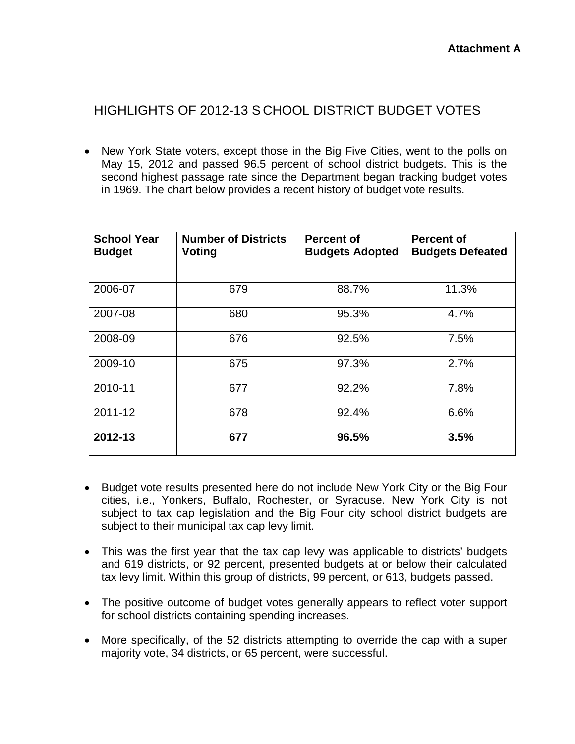# HIGHLIGHTS OF 2012-13 S CHOOL DISTRICT BUDGET VOTES

• New York State voters, except those in the Big Five Cities, went to the polls on May 15, 2012 and passed 96.5 percent of school district budgets. This is the second highest passage rate since the Department began tracking budget votes in 1969. The chart below provides a recent history of budget vote results.

| <b>School Year</b><br><b>Budget</b> | <b>Number of Districts</b><br>Voting | <b>Percent of</b><br><b>Budgets Adopted</b> | <b>Percent of</b><br><b>Budgets Defeated</b> |
|-------------------------------------|--------------------------------------|---------------------------------------------|----------------------------------------------|
| 2006-07                             | 679                                  | 88.7%                                       | 11.3%                                        |
| 2007-08                             | 680                                  | 95.3%                                       | 4.7%                                         |
| 2008-09                             | 676                                  | 92.5%                                       | 7.5%                                         |
| 2009-10                             | 675                                  | 97.3%                                       | 2.7%                                         |
| 2010-11                             | 677                                  | 92.2%                                       | 7.8%                                         |
| 2011-12                             | 678                                  | 92.4%                                       | 6.6%                                         |
| 2012-13                             | 677                                  | 96.5%                                       | 3.5%                                         |

- Budget vote results presented here do not include New York City or the Big Four cities, i.e., Yonkers, Buffalo, Rochester, or Syracuse. New York City is not subject to tax cap legislation and the Big Four city school district budgets are subject to their municipal tax cap levy limit.
- This was the first year that the tax cap levy was applicable to districts' budgets and 619 districts, or 92 percent, presented budgets at or below their calculated tax levy limit. Within this group of districts, 99 percent, or 613, budgets passed.
- The positive outcome of budget votes generally appears to reflect voter support for school districts containing spending increases.
- More specifically, of the 52 districts attempting to override the cap with a super majority vote, 34 districts, or 65 percent, were successful.